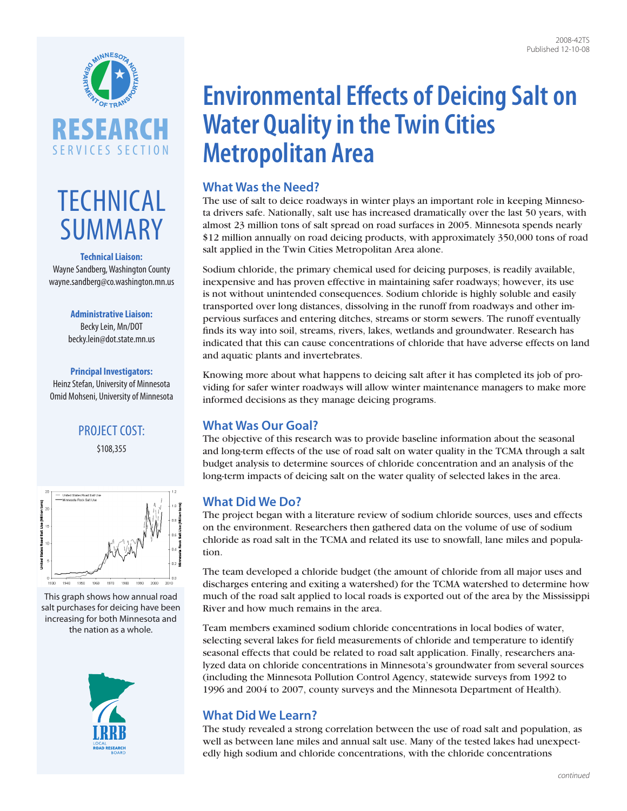

# **TECHNICAL** SUMMARY

#### **Technical Liaison:**

Wayne Sandberg, Washington County [wayne.sandberg@co.washington.mn.us](mailto:wayne.sandberg%40co.washington.mn.us?subject=)

#### **Administrative Liaison:**

Becky Lein, Mn/DOT [becky.lein@dot.state.mn.us](mailto:becky.lein%40dot.state.mn.us?subject=)

### **Principal Investigators:**

Heinz Stefan, University of Minnesota Omid Mohseni, University of Minnesota

# PROJECT COST: \$108,355



This graph shows how annual road salt purchases for deicing have been increasing for both Minnesota and the nation as a whole.



# **Environmental Effects of Deicing Salt on Water Quality in the Twin Cities Metropolitan Area**

## **What Was the Need?**

The use of salt to deice roadways in winter plays an important role in keeping Minnesota drivers safe. Nationally, salt use has increased dramatically over the last 50 years, with almost 23 million tons of salt spread on road surfaces in 2005. Minnesota spends nearly \$12 million annually on road deicing products, with approximately 350,000 tons of road salt applied in the Twin Cities Metropolitan Area alone.

Sodium chloride, the primary chemical used for deicing purposes, is readily available, inexpensive and has proven effective in maintaining safer roadways; however, its use is not without unintended consequences. Sodium chloride is highly soluble and easily transported over long distances, dissolving in the runoff from roadways and other impervious surfaces and entering ditches, streams or storm sewers. The runoff eventually finds its way into soil, streams, rivers, lakes, wetlands and groundwater. Research has indicated that this can cause concentrations of chloride that have adverse effects on land and aquatic plants and invertebrates.

Knowing more about what happens to deicing salt after it has completed its job of providing for safer winter roadways will allow winter maintenance managers to make more informed decisions as they manage deicing programs.

## **What Was Our Goal?**

The objective of this research was to provide baseline information about the seasonal and long-term effects of the use of road salt on water quality in the TCMA through a salt budget analysis to determine sources of chloride concentration and an analysis of the long-term impacts of deicing salt on the water quality of selected lakes in the area.

# **What Did We Do?**

The project began with a literature review of sodium chloride sources, uses and effects on the environment. Researchers then gathered data on the volume of use of sodium chloride as road salt in the TCMA and related its use to snowfall, lane miles and population.

The team developed a chloride budget (the amount of chloride from all major uses and discharges entering and exiting a watershed) for the TCMA watershed to determine how much of the road salt applied to local roads is exported out of the area by the Mississippi River and how much remains in the area.

Team members examined sodium chloride concentrations in local bodies of water, selecting several lakes for field measurements of chloride and temperature to identify seasonal effects that could be related to road salt application. Finally, researchers analyzed data on chloride concentrations in Minnesota's groundwater from several sources (including the Minnesota Pollution Control Agency, statewide surveys from 1992 to 1996 and 2004 to 2007, county surveys and the Minnesota Department of Health).

# **What Did We Learn?**

The study revealed a strong correlation between the use of road salt and population, as well as between lane miles and annual salt use. Many of the tested lakes had unexpectedly high sodium and chloride concentrations, with the chloride concentrations